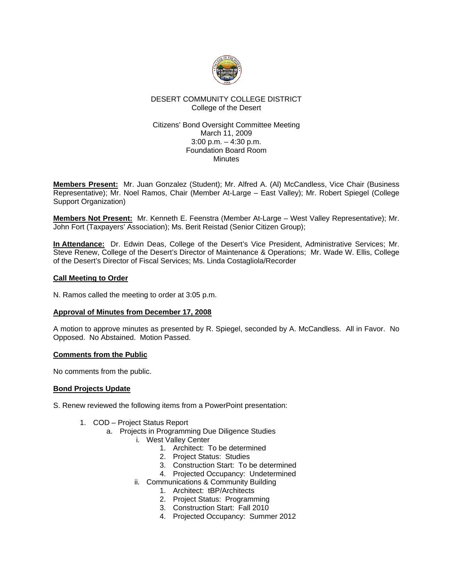

## DESERT COMMUNITY COLLEGE DISTRICT College of the Desert

### Citizens' Bond Oversight Committee Meeting March 11, 2009 3:00 p.m. – 4:30 p.m. Foundation Board Room **Minutes**

**Members Present:** Mr. Juan Gonzalez (Student); Mr. Alfred A. (Al) McCandless, Vice Chair (Business Representative); Mr. Noel Ramos, Chair (Member At-Large – East Valley); Mr. Robert Spiegel (College Support Organization)

**Members Not Present:** Mr. Kenneth E. Feenstra (Member At-Large – West Valley Representative); Mr. John Fort (Taxpayers' Association); Ms. Berit Reistad (Senior Citizen Group);

**In Attendance:** Dr. Edwin Deas, College of the Desert's Vice President, Administrative Services; Mr. Steve Renew, College of the Desert's Director of Maintenance & Operations; Mr. Wade W. Ellis, College of the Desert's Director of Fiscal Services; Ms. Linda Costagliola/Recorder

## **Call Meeting to Order**

N. Ramos called the meeting to order at 3:05 p.m.

### **Approval of Minutes from December 17, 2008**

A motion to approve minutes as presented by R. Spiegel, seconded by A. McCandless. All in Favor. No Opposed. No Abstained. Motion Passed.

### **Comments from the Public**

No comments from the public.

# **Bond Projects Update**

S. Renew reviewed the following items from a PowerPoint presentation:

- 1. COD Project Status Report
	- a. Projects in Programming Due Diligence Studies
		- i. West Valley Center
			- 1. Architect: To be determined
			- 2. Project Status: Studies
			- 3. Construction Start: To be determined
			- 4. Projected Occupancy: Undetermined
		- ii. Communications & Community Building
			- 1. Architect: tBP/Architects
			- 2. Project Status: Programming
			- 3. Construction Start: Fall 2010
			- 4. Projected Occupancy: Summer 2012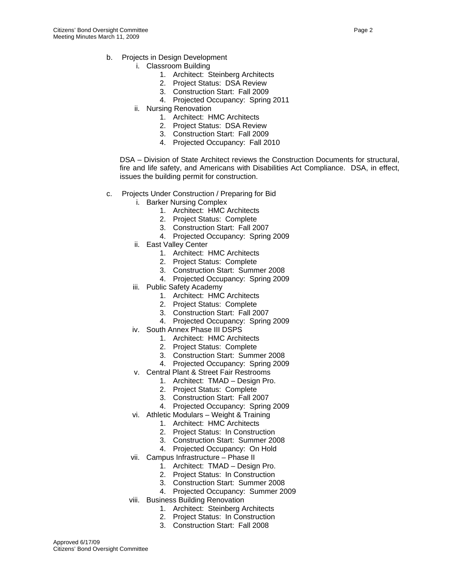- b. Projects in Design Development
	- i. Classroom Building
		- 1. Architect: Steinberg Architects
		- 2. Project Status: DSA Review
		- 3. Construction Start: Fall 2009
		- 4. Projected Occupancy: Spring 2011
	- ii. Nursing Renovation
		- 1. Architect: HMC Architects
		- 2. Project Status: DSA Review
		- 3. Construction Start: Fall 2009
		- 4. Projected Occupancy: Fall 2010

DSA – Division of State Architect reviews the Construction Documents for structural, fire and life safety, and Americans with Disabilities Act Compliance. DSA, in effect, issues the building permit for construction.

- c. Projects Under Construction / Preparing for Bid
	- i. Barker Nursing Complex
		- 1. Architect: HMC Architects
		- 2. Project Status: Complete
		- 3. Construction Start: Fall 2007
		- 4. Projected Occupancy: Spring 2009
		- ii. East Valley Center
			- 1. Architect: HMC Architects
			- 2. Project Status: Complete
			- 3. Construction Start: Summer 2008
			- 4. Projected Occupancy: Spring 2009
		- iii. Public Safety Academy
			- 1. Architect: HMC Architects
			- 2. Project Status: Complete
			- 3. Construction Start: Fall 2007
			- 4. Projected Occupancy: Spring 2009
		- iv. South Annex Phase III DSPS
			- 1. Architect: HMC Architects
			- 2. Project Status: Complete
			- 3. Construction Start: Summer 2008
			- 4. Projected Occupancy: Spring 2009
			- v. Central Plant & Street Fair Restrooms
				- 1. Architect: TMAD Design Pro.
				- 2. Project Status: Complete
				- 3. Construction Start: Fall 2007
				- 4. Projected Occupancy: Spring 2009
		- vi. Athletic Modulars Weight & Training
			- 1. Architect: HMC Architects
				- 2. Project Status: In Construction
				- 3. Construction Start: Summer 2008
			- 4. Projected Occupancy: On Hold
		- vii. Campus Infrastructure Phase II
			- 1. Architect: TMAD Design Pro.
			- 2. Project Status: In Construction
			- 3. Construction Start: Summer 2008
			- 4. Projected Occupancy: Summer 2009
	- viii. Business Building Renovation
		- 1. Architect: Steinberg Architects
		- 2. Project Status: In Construction
		- 3. Construction Start: Fall 2008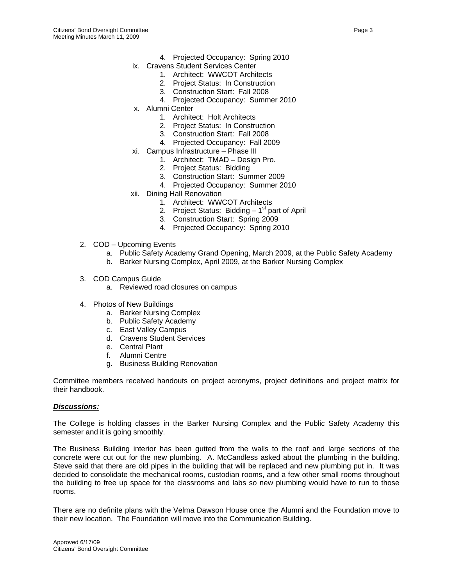- 4. Projected Occupancy: Spring 2010
- ix. Cravens Student Services Center
	- 1. Architect: WWCOT Architects
	- 2. Project Status: In Construction
	- 3. Construction Start: Fall 2008
	- 4. Projected Occupancy: Summer 2010
- x. Alumni Center
	- 1. Architect: Holt Architects
	- 2. Project Status: In Construction
	- 3. Construction Start: Fall 2008
	- 4. Projected Occupancy: Fall 2009
- xi. Campus Infrastructure Phase III
	- 1. Architect: TMAD Design Pro.
	- 2. Project Status: Bidding
	- 3. Construction Start: Summer 2009
	- 4. Projected Occupancy: Summer 2010
- xii. Dining Hall Renovation
	- 1. Architect: WWCOT Architects
	- 2. Project Status: Bidding  $-1<sup>st</sup>$  part of April
	- 3. Construction Start: Spring 2009
	- 4. Projected Occupancy: Spring 2010
- 2. COD Upcoming Events
	- a. Public Safety Academy Grand Opening, March 2009, at the Public Safety Academy
	- b. Barker Nursing Complex, April 2009, at the Barker Nursing Complex
- 3. COD Campus Guide
	- a. Reviewed road closures on campus
- 4. Photos of New Buildings
	- a. Barker Nursing Complex
	- b. Public Safety Academy
	- c. East Valley Campus
	- d. Cravens Student Services
	- e. Central Plant
	- f. Alumni Centre
	- g. Business Building Renovation

Committee members received handouts on project acronyms, project definitions and project matrix for their handbook.

### *Discussions:*

The College is holding classes in the Barker Nursing Complex and the Public Safety Academy this semester and it is going smoothly.

The Business Building interior has been gutted from the walls to the roof and large sections of the concrete were cut out for the new plumbing. A. McCandless asked about the plumbing in the building. Steve said that there are old pipes in the building that will be replaced and new plumbing put in. It was decided to consolidate the mechanical rooms, custodian rooms, and a few other small rooms throughout the building to free up space for the classrooms and labs so new plumbing would have to run to those rooms.

There are no definite plans with the Velma Dawson House once the Alumni and the Foundation move to their new location. The Foundation will move into the Communication Building.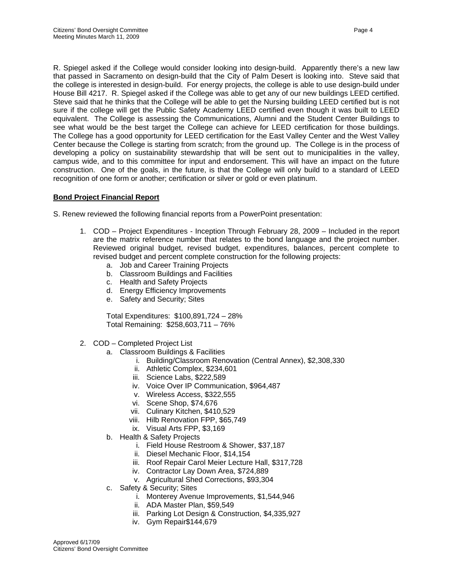R. Spiegel asked if the College would consider looking into design-build. Apparently there's a new law that passed in Sacramento on design-build that the City of Palm Desert is looking into. Steve said that the college is interested in design-build. For energy projects, the college is able to use design-build under House Bill 4217. R. Spiegel asked if the College was able to get any of our new buildings LEED certified. Steve said that he thinks that the College will be able to get the Nursing building LEED certified but is not sure if the college will get the Public Safety Academy LEED certified even though it was built to LEED equivalent. The College is assessing the Communications, Alumni and the Student Center Buildings to see what would be the best target the College can achieve for LEED certification for those buildings. The College has a good opportunity for LEED certification for the East Valley Center and the West Valley Center because the College is starting from scratch; from the ground up. The College is in the process of developing a policy on sustainability stewardship that will be sent out to municipalities in the valley, campus wide, and to this committee for input and endorsement. This will have an impact on the future construction. One of the goals, in the future, is that the College will only build to a standard of LEED recognition of one form or another; certification or silver or gold or even platinum.

## **Bond Project Financial Report**

S. Renew reviewed the following financial reports from a PowerPoint presentation:

- 1. COD Project Expenditures Inception Through February 28, 2009 Included in the report are the matrix reference number that relates to the bond language and the project number. Reviewed original budget, revised budget, expenditures, balances, percent complete to revised budget and percent complete construction for the following projects:
	- a. Job and Career Training Projects
	- b. Classroom Buildings and Facilities
	- c. Health and Safety Projects
	- d. Energy Efficiency Improvements
	- e. Safety and Security; Sites

Total Expenditures: \$100,891,724 – 28% Total Remaining: \$258,603,711 – 76%

- 2. COD Completed Project List
	- a. Classroom Buildings & Facilities
		- i. Building/Classroom Renovation (Central Annex), \$2,308,330
		- ii. Athletic Complex, \$234,601
		- iii. Science Labs, \$222,589
		- iv. Voice Over IP Communication, \$964,487
		- v. Wireless Access, \$322,555
		- vi. Scene Shop, \$74,676
		- vii. Culinary Kitchen, \$410,529
		- viii. Hilb Renovation FPP, \$65,749
		- ix. Visual Arts FPP, \$3,169
	- b. Health & Safety Projects
		- i. Field House Restroom & Shower, \$37,187
		- ii. Diesel Mechanic Floor, \$14,154
		- iii. Roof Repair Carol Meier Lecture Hall, \$317,728
		- iv. Contractor Lay Down Area, \$724,889
		- v. Agricultural Shed Corrections, \$93,304
	- c. Safety & Security; Sites
		- i. Monterey Avenue Improvements, \$1,544,946
		- ii. ADA Master Plan, \$59,549
		- iii. Parking Lot Design & Construction, \$4,335,927
		- iv. Gym Repair\$144,679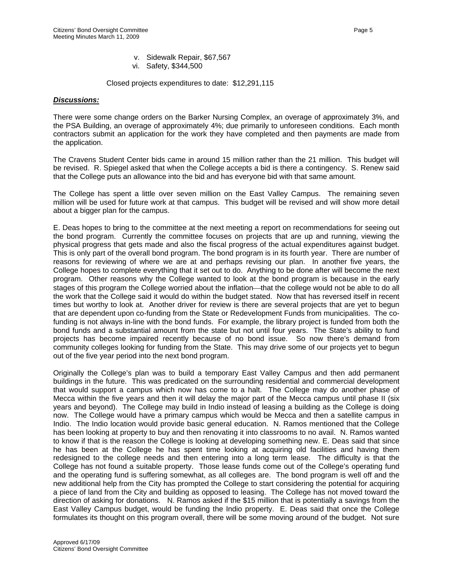- v. Sidewalk Repair, \$67,567
- vi. Safety, \$344,500

Closed projects expenditures to date: \$12,291,115

#### *Discussions:*

There were some change orders on the Barker Nursing Complex, an overage of approximately 3%, and the PSA Building, an overage of approximately 4%; due primarily to unforeseen conditions. Each month contractors submit an application for the work they have completed and then payments are made from the application.

The Cravens Student Center bids came in around 15 million rather than the 21 million. This budget will be revised. R. Spiegel asked that when the College accepts a bid is there a contingency. S. Renew said that the College puts an allowance into the bid and has everyone bid with that same amount.

The College has spent a little over seven million on the East Valley Campus. The remaining seven million will be used for future work at that campus. This budget will be revised and will show more detail about a bigger plan for the campus.

E. Deas hopes to bring to the committee at the next meeting a report on recommendations for seeing out the bond program. Currently the committee focuses on projects that are up and running, viewing the physical progress that gets made and also the fiscal progress of the actual expenditures against budget. This is only part of the overall bond program. The bond program is in its fourth year. There are number of reasons for reviewing of where we are at and perhaps revising our plan. In another five years, the College hopes to complete everything that it set out to do. Anything to be done after will become the next program. Other reasons why the College wanted to look at the bond program is because in the early stages of this program the College worried about the inflation—that the college would not be able to do all the work that the College said it would do within the budget stated. Now that has reversed itself in recent times but worthy to look at. Another driver for review is there are several projects that are yet to begun that are dependent upon co-funding from the State or Redevelopment Funds from municipalities. The cofunding is not always in-line with the bond funds. For example, the library project is funded from both the bond funds and a substantial amount from the state but not until four years. The State's ability to fund projects has become impaired recently because of no bond issue. So now there's demand from community colleges looking for funding from the State. This may drive some of our projects yet to begun out of the five year period into the next bond program.

Originally the College's plan was to build a temporary East Valley Campus and then add permanent buildings in the future. This was predicated on the surrounding residential and commercial development that would support a campus which now has come to a halt. The College may do another phase of Mecca within the five years and then it will delay the major part of the Mecca campus until phase II (six years and beyond). The College may build in Indio instead of leasing a building as the College is doing now. The College would have a primary campus which would be Mecca and then a satellite campus in Indio. The Indio location would provide basic general education. N. Ramos mentioned that the College has been looking at property to buy and then renovating it into classrooms to no avail. N. Ramos wanted to know if that is the reason the College is looking at developing something new. E. Deas said that since he has been at the College he has spent time looking at acquiring old facilities and having them redesigned to the college needs and then entering into a long term lease. The difficulty is that the College has not found a suitable property. Those lease funds come out of the College's operating fund and the operating fund is suffering somewhat, as all colleges are. The bond program is well off and the new additional help from the City has prompted the College to start considering the potential for acquiring a piece of land from the City and building as opposed to leasing. The College has not moved toward the direction of asking for donations. N. Ramos asked if the \$15 million that is potentially a savings from the East Valley Campus budget, would be funding the Indio property. E. Deas said that once the College formulates its thought on this program overall, there will be some moving around of the budget. Not sure